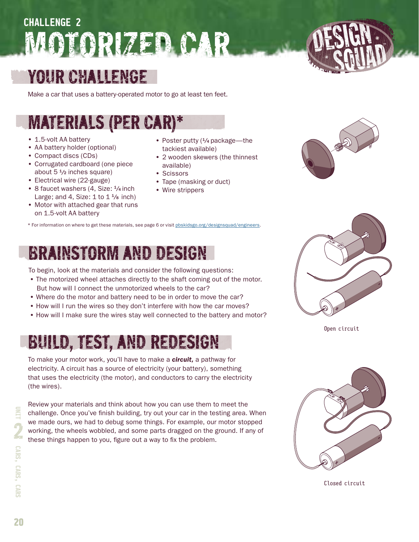# MOTORIZED CAR **Unit 2 Challenge 2 Challenge 2**

# Your Challenge

Make a car that uses a battery-operated motor to go at least ten feet.

# Materials (per car)\*

- 1.5-volt AA battery
- AA battery holder (optional)
- Compact discs (CDs)
- Corrugated cardboard (one piece about  $5\frac{1}{2}$  inches square)
- Electrical wire (22-gauge)
- 8 faucet washers (4, Size:  $\frac{1}{4}$  inch Large; and 4, Size:  $1$  to  $1\frac{1}{8}$  inch)
- Motor with attached gear that runs on 1.5-volt AA battery
- Poster putty (<sup>1</sup>/4 package—the tackiest available)
- 2 wooden skewers (the thinnest available)
- Scissors
- Tape (masking or duct)
- Wire strippers



\* For information on where to get these materials, see page 6 or visit [pbskidsgo.org/designsquad/engineers](http://www.pbskidsgo.org/designsquad/engineers).

# Brainstorm and design

To begin, look at the materials and consider the following questions:

- The motorized wheel attaches directly to the shaft coming out of the motor. But how will I connect the unmotorized wheels to the car?
- Where do the motor and battery need to be in order to move the car?
- How will I run the wires so they don't interfere with how the car moves?
- How will I make sure the wires stay well connected to the battery and motor?

# Build, Test, and redesign

To make your motor work, you'll have to make a *circuit,* a pathway for electricity. A circuit has a source of electricity (your battery), something that uses the electricity (the motor), and conductors to carry the electricity (the wires).

Review your materials and think about how you can use them to meet the challenge. Once you've finish building, try out your car in the testing area. When we made ours, we had to debug some things. For example, our motor stopped working, the wheels wobbled, and some parts dragged on the ground. If any of these things happen to you, figure out a way to fix the problem.



Closed circuit

**20**

Open circuit